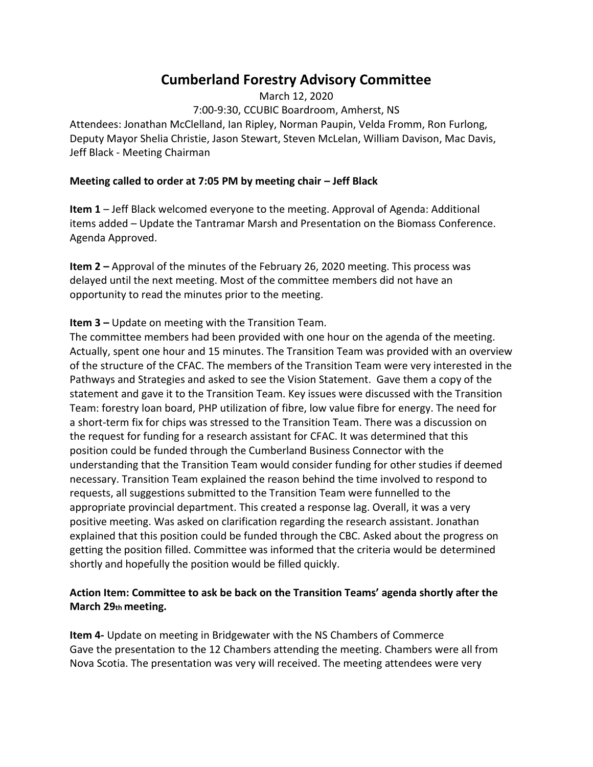# **Cumberland Forestry Advisory Committee**

March 12, 2020 7:00‐9:30, CCUBIC Boardroom, Amherst, NS Attendees: Jonathan McClelland, Ian Ripley, Norman Paupin, Velda Fromm, Ron Furlong, Deputy Mayor Shelia Christie, Jason Stewart, Steven McLelan, William Davison, Mac Davis, Jeff Black ‐ Meeting Chairman

#### **Meeting called to order at 7:05 PM by meeting chair - Jeff Black**

**Item 1** – Jeff Black welcomed everyone to the meeting. Approval of Agenda: Additional items added – Update the Tantramar Marsh and Presentation on the Biomass Conference. Agenda Approved.

**Item 2 –** Approval of the minutes of the February 26, 2020 meeting. This process was delayed until the next meeting. Most of the committee members did not have an opportunity to read the minutes prior to the meeting.

#### **Item 3 –** Update on meeting with the Transition Team.

The committee members had been provided with one hour on the agenda of the meeting. Actually, spent one hour and 15 minutes. The Transition Team was provided with an overview of the structure of the CFAC. The members of the Transition Team were very interested in the Pathways and Strategies and asked to see the Vision Statement. Gave them a copy of the statement and gave it to the Transition Team. Key issues were discussed with the Transition Team: forestry loan board, PHP utilization of fibre, low value fibre for energy. The need for a short‐term fix for chips was stressed to the Transition Team. There was a discussion on the request for funding for a research assistant for CFAC. It was determined that this position could be funded through the Cumberland Business Connector with the understanding that the Transition Team would consider funding for other studies if deemed necessary. Transition Team explained the reason behind the time involved to respond to requests, all suggestions submitted to the Transition Team were funnelled to the appropriate provincial department. This created a response lag. Overall, it was a very positive meeting. Was asked on clarification regarding the research assistant. Jonathan explained that this position could be funded through the CBC. Asked about the progress on getting the position filled. Committee was informed that the criteria would be determined shortly and hopefully the position would be filled quickly.

#### **Action Item: Committee to ask be back on the Transition Teams' agenda shortly after the March 29th meeting.**

**Item 4-** Update on meeting in Bridgewater with the NS Chambers of Commerce Gave the presentation to the 12 Chambers attending the meeting. Chambers were all from Nova Scotia. The presentation was very will received. The meeting attendees were very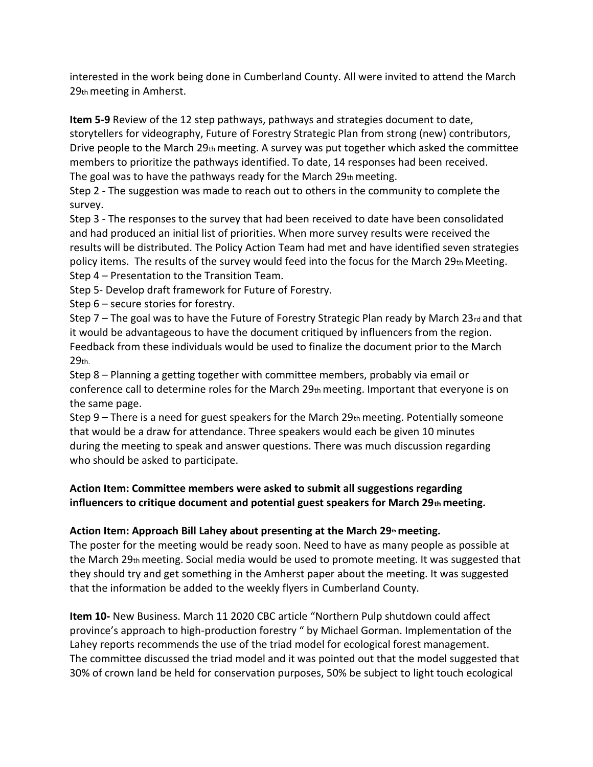interested in the work being done in Cumberland County. All were invited to attend the March 29th meeting in Amherst.

**Item 5‐9** Review of the 12 step pathways, pathways and strategies document to date, storytellers for videography, Future of Forestry Strategic Plan from strong (new) contributors, Drive people to the March 29th meeting. A survey was put together which asked the committee members to prioritize the pathways identified. To date, 14 responses had been received. The goal was to have the pathways ready for the March 29th meeting.

Step 2 - The suggestion was made to reach out to others in the community to complete the survey.

Step 3 ‐ The responses to the survey that had been received to date have been consolidated and had produced an initial list of priorities. When more survey results were received the results will be distributed. The Policy Action Team had met and have identified seven strategies policy items. The results of the survey would feed into the focus for the March  $29<sub>th</sub>$  Meeting. Step 4 – Presentation to the Transition Team.

Step 5‐ Develop draft framework for Future of Forestry.

Step 6 – secure stories for forestry.

Step  $7$  – The goal was to have the Future of Forestry Strategic Plan ready by March 23 $_{rd}$  and that it would be advantageous to have the document critiqued by influencers from the region. Feedback from these individuals would be used to finalize the document prior to the March 29th.

Step 8 – Planning a getting together with committee members, probably via email or conference call to determine roles for the March  $29<sub>th</sub>$  meeting. Important that everyone is on the same page.

Step 9 – There is a need for guest speakers for the March  $29<sub>th</sub>$  meeting. Potentially someone that would be a draw for attendance. Three speakers would each be given 10 minutes during the meeting to speak and answer questions. There was much discussion regarding who should be asked to participate.

## **Action Item: Committee members were asked to submit all suggestions regarding influencers to critique document and potential guest speakers for March 29th meeting.**

# **Action Item: Approach Bill Lahey about presenting at the March 29th meeting.**

The poster for the meeting would be ready soon. Need to have as many people as possible at the March 29th meeting. Social media would be used to promote meeting. It was suggested that they should try and get something in the Amherst paper about the meeting. It was suggested that the information be added to the weekly flyers in Cumberland County.

**Item 10‐** New Business. March 11 2020 CBC article "Northern Pulp shutdown could affect province's approach to high‐production forestry " by Michael Gorman. Implementation of the Lahey reports recommends the use of the triad model for ecological forest management. The committee discussed the triad model and it was pointed out that the model suggested that 30% of crown land be held for conservation purposes, 50% be subject to light touch ecological